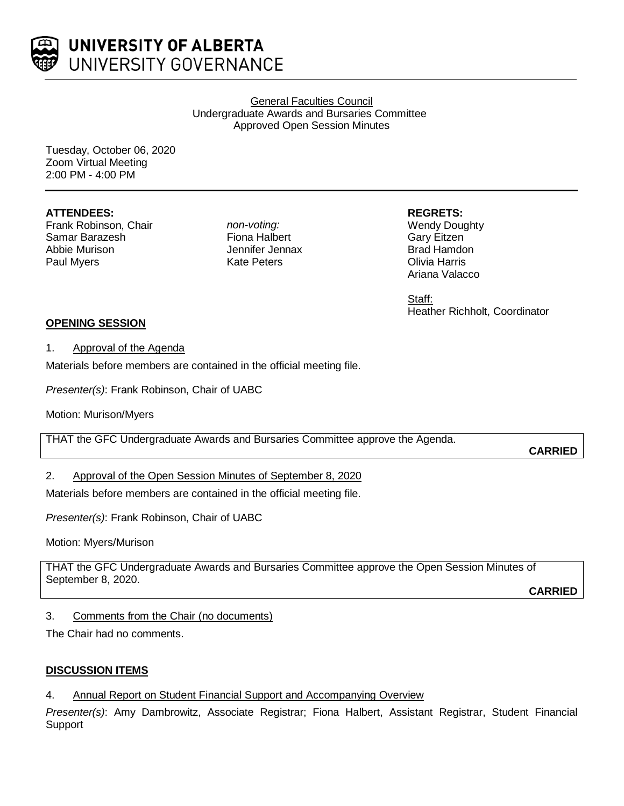

General Faculties Council Undergraduate Awards and Bursaries Committee Approved Open Session Minutes

Tuesday, October 06, 2020 Zoom Virtual Meeting 2:00 PM - 4:00 PM

### **ATTENDEES:**

Frank Robinson, Chair Samar Barazesh Abbie Murison Paul Myers

*non-voting:* Fiona Halbert Jennifer Jennax Kate Peters

**REGRETS:**

Wendy Doughty Gary Eitzen Brad Hamdon Olivia Harris Ariana Valacco

Staff: Heather Richholt, Coordinator

# **OPENING SESSION**

### 1. Approval of the Agenda

Materials before members are contained in the official meeting file.

*Presenter(s)*: Frank Robinson, Chair of UABC

Motion: Murison/Myers

THAT the GFC Undergraduate Awards and Bursaries Committee approve the Agenda.

**CARRIED**

## 2. Approval of the Open Session Minutes of September 8, 2020

Materials before members are contained in the official meeting file.

*Presenter(s)*: Frank Robinson, Chair of UABC

Motion: Myers/Murison

THAT the GFC Undergraduate Awards and Bursaries Committee approve the Open Session Minutes of September 8, 2020.

**CARRIED**

## 3. Comments from the Chair (no documents)

The Chair had no comments.

### **DISCUSSION ITEMS**

4. Annual Report on Student Financial Support and Accompanying Overview

*Presenter(s)*: Amy Dambrowitz, Associate Registrar; Fiona Halbert, Assistant Registrar, Student Financial **Support**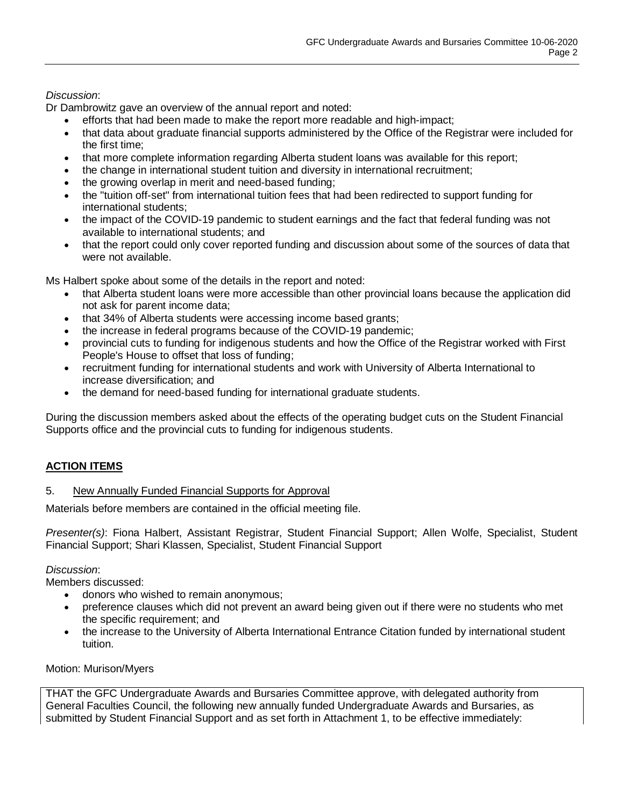## *Discussion*:

Dr Dambrowitz gave an overview of the annual report and noted:

- efforts that had been made to make the report more readable and high-impact;
- that data about graduate financial supports administered by the Office of the Registrar were included for the first time;
- that more complete information regarding Alberta student loans was available for this report;
- the change in international student tuition and diversity in international recruitment;
- the growing overlap in merit and need-based funding;
- the "tuition off-set" from international tuition fees that had been redirected to support funding for international students;
- the impact of the COVID-19 pandemic to student earnings and the fact that federal funding was not available to international students; and
- that the report could only cover reported funding and discussion about some of the sources of data that were not available.

Ms Halbert spoke about some of the details in the report and noted:

- that Alberta student loans were more accessible than other provincial loans because the application did not ask for parent income data;
- that 34% of Alberta students were accessing income based grants;
- the increase in federal programs because of the COVID-19 pandemic;
- provincial cuts to funding for indigenous students and how the Office of the Registrar worked with First People's House to offset that loss of funding;
- recruitment funding for international students and work with University of Alberta International to increase diversification; and
- the demand for need-based funding for international graduate students.

During the discussion members asked about the effects of the operating budget cuts on the Student Financial Supports office and the provincial cuts to funding for indigenous students.

## **ACTION ITEMS**

### 5. New Annually Funded Financial Supports for Approval

Materials before members are contained in the official meeting file.

*Presenter(s)*: Fiona Halbert, Assistant Registrar, Student Financial Support; Allen Wolfe, Specialist, Student Financial Support; Shari Klassen, Specialist, Student Financial Support

### *Discussion*:

Members discussed:

- donors who wished to remain anonymous;
- preference clauses which did not prevent an award being given out if there were no students who met the specific requirement; and
- the increase to the University of Alberta International Entrance Citation funded by international student tuition.

Motion: Murison/Myers

THAT the GFC Undergraduate Awards and Bursaries Committee approve, with delegated authority from General Faculties Council, the following new annually funded Undergraduate Awards and Bursaries, as submitted by Student Financial Support and as set forth in Attachment 1, to be effective immediately: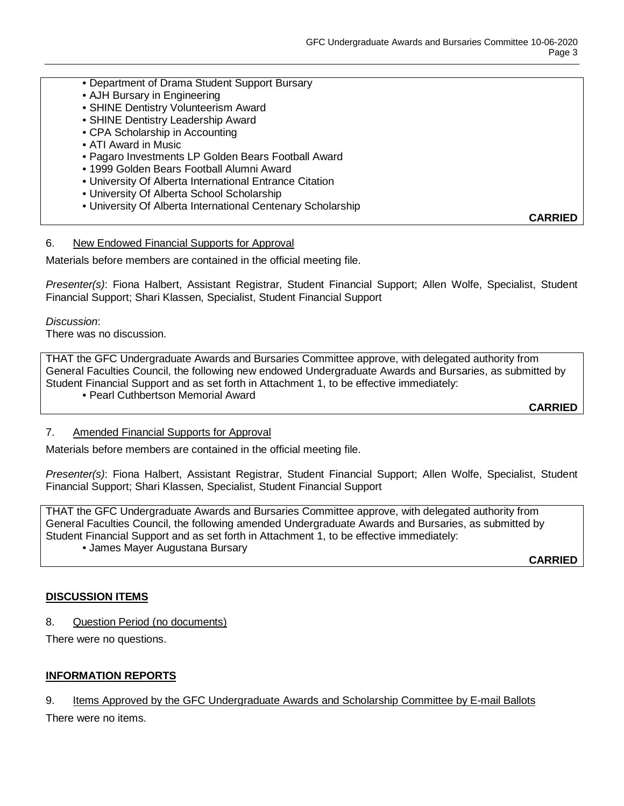- Department of Drama Student Support Bursary
- AJH Bursary in Engineering
- SHINE Dentistry Volunteerism Award
- SHINE Dentistry Leadership Award
- CPA Scholarship in Accounting
- ATI Award in Music
- Pagaro Investments LP Golden Bears Football Award
- 1999 Golden Bears Football Alumni Award
- University Of Alberta International Entrance Citation
- University Of Alberta School Scholarship
- University Of Alberta International Centenary Scholarship

**CARRIED**

#### 6. New Endowed Financial Supports for Approval

Materials before members are contained in the official meeting file.

*Presenter(s)*: Fiona Halbert, Assistant Registrar, Student Financial Support; Allen Wolfe, Specialist, Student Financial Support; Shari Klassen, Specialist, Student Financial Support

*Discussion*:

There was no discussion.

THAT the GFC Undergraduate Awards and Bursaries Committee approve, with delegated authority from General Faculties Council, the following new endowed Undergraduate Awards and Bursaries, as submitted by Student Financial Support and as set forth in Attachment 1, to be effective immediately:

• Pearl Cuthbertson Memorial Award

**CARRIED**

### 7. Amended Financial Supports for Approval

Materials before members are contained in the official meeting file.

*Presenter(s)*: Fiona Halbert, Assistant Registrar, Student Financial Support; Allen Wolfe, Specialist, Student Financial Support; Shari Klassen, Specialist, Student Financial Support

THAT the GFC Undergraduate Awards and Bursaries Committee approve, with delegated authority from General Faculties Council, the following amended Undergraduate Awards and Bursaries, as submitted by Student Financial Support and as set forth in Attachment 1, to be effective immediately:

• James Mayer Augustana Bursary

**CARRIED**

### **DISCUSSION ITEMS**

8. Question Period (no documents)

There were no questions.

### **INFORMATION REPORTS**

### 9. Items Approved by the GFC Undergraduate Awards and Scholarship Committee by E-mail Ballots

There were no items.